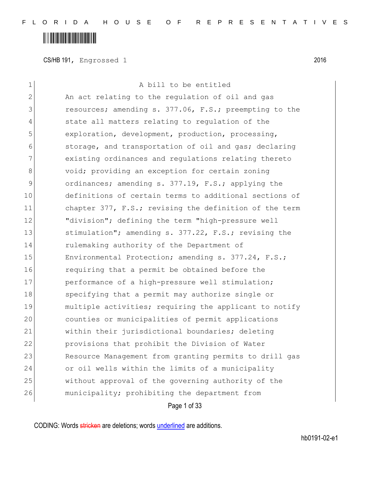CS/HB 191, Engrossed 1 2016

| 1             | A bill to be entitled                                  |
|---------------|--------------------------------------------------------|
| $\mathbf{2}$  | An act relating to the regulation of oil and gas       |
| 3             | resources; amending s. 377.06, F.S.; preempting to the |
| 4             | state all matters relating to regulation of the        |
| 5             | exploration, development, production, processing,      |
| 6             | storage, and transportation of oil and gas; declaring  |
| 7             | existing ordinances and regulations relating thereto   |
| 8             | void; providing an exception for certain zoning        |
| $\mathcal{G}$ | ordinances; amending s. 377.19, F.S.; applying the     |
| 10            | definitions of certain terms to additional sections of |
| 11            | chapter 377, F.S.; revising the definition of the term |
| 12            | "division"; defining the term "high-pressure well      |
| 13            | stimulation"; amending s. 377.22, F.S.; revising the   |
| 14            | rulemaking authority of the Department of              |
| 15            | Environmental Protection; amending s. 377.24, F.S.;    |
| 16            | requiring that a permit be obtained before the         |
| 17            | performance of a high-pressure well stimulation;       |
| 18            | specifying that a permit may authorize single or       |
| 19            | multiple activities; requiring the applicant to notify |
| 20            | counties or municipalities of permit applications      |
| 21            | within their jurisdictional boundaries; deleting       |
| 22            | provisions that prohibit the Division of Water         |
| 23            | Resource Management from granting permits to drill gas |
| 24            | or oil wells within the limits of a municipality       |
| 25            | without approval of the governing authority of the     |
| 26            | municipality; prohibiting the department from          |
|               | Page 1 of 33                                           |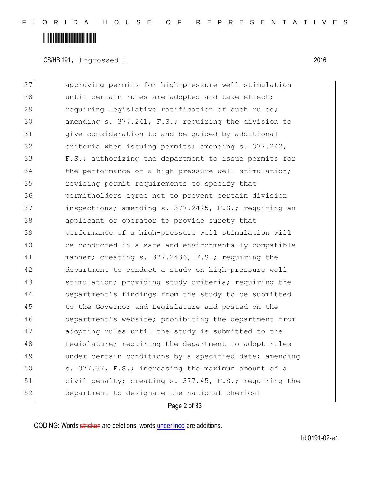#### <u> A Alban Martin Alban II</u>

CS/HB 191, Engrossed 1 2016

27 approving permits for high-pressure well stimulation 28 until certain rules are adopted and take effect; 29 requiring legislative ratification of such rules; 30 amending s. 377.241, F.S.; requiring the division to 31 give consideration to and be guided by additional 32 criteria when issuing permits; amending s. 377.242, 33 F.S.; authorizing the department to issue permits for 34 the performance of a high-pressure well stimulation; 35 revising permit requirements to specify that 36 permitholders agree not to prevent certain division 37 inspections; amending s. 377.2425, F.S.; requiring an 38 applicant or operator to provide surety that 39 performance of a high-pressure well stimulation will 40 be conducted in a safe and environmentally compatible 41 manner; creating s. 377.2436, F.S.; requiring the 42 department to conduct a study on high-pressure well 43 stimulation; providing study criteria; requiring the 44 department's findings from the study to be submitted 45 to the Governor and Legislature and posted on the 46 department's website; prohibiting the department from 47 adopting rules until the study is submitted to the 48 Legislature; requiring the department to adopt rules 49 ander certain conditions by a specified date; amending 50 s. 377.37, F.S.; increasing the maximum amount of a 51 civil penalty; creating s. 377.45, F.S.; requiring the 52 department to designate the national chemical

Page 2 of 33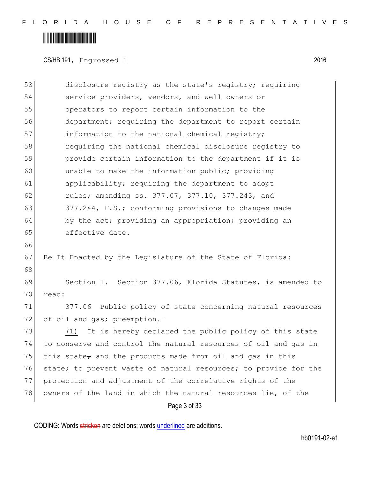### <u> A Alban Martin Alban II</u>

CS/HB 191, Engrossed 1 2016

Page 3 of 33 53 disclosure registry as the state's registry; requiring 54 service providers, vendors, and well owners or 55 operators to report certain information to the 56 department; requiring the department to report certain 57 information to the national chemical registry; 58 requiring the national chemical disclosure registry to 59 provide certain information to the department if it is 60 unable to make the information public; providing 61 applicability; requiring the department to adopt 62 rules; amending ss. 377.07, 377.10, 377.243, and 63 377.244, F.S.; conforming provisions to changes made 64 by the act; providing an appropriation; providing an 65 effective date. 66 67 Be It Enacted by the Legislature of the State of Florida: 68 69 Section 1. Section 377.06, Florida Statutes, is amended to 70 read: 71 377.06 Public policy of state concerning natural resources 72 of oil and gas; preemption.-73 (1) It is hereby declared the public policy of this state 74 to conserve and control the natural resources of oil and gas in 75 this state, and the products made from oil and gas in this 76 state; to prevent waste of natural resources; to provide for the 77 protection and adjustment of the correlative rights of the 78 owners of the land in which the natural resources lie, of the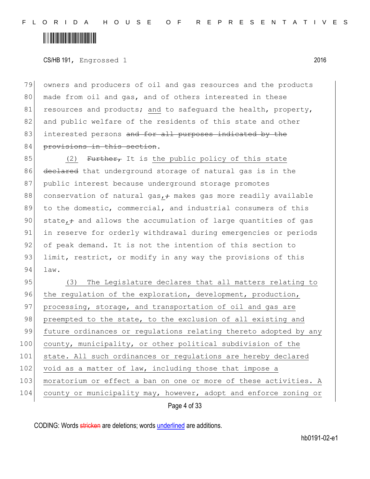### 

CS/HB 191, Engrossed 1 2016

79 owners and producers of oil and gas resources and the products 80 made from oil and gas, and of others interested in these 81 resources and products; and to safeguard the health, property, 82 and public welfare of the residents of this state and other 83 interested persons and for all purposes indicated by the 84 provisions in this section.

85 (2) Further, It is the public policy of this state 86 declared that underground storage of natural gas is in the 87 public interest because underground storage promotes 88 conservation of natural gas,  $\div$  makes gas more readily available 89 to the domestic, commercial, and industrial consumers of this 90 state, and allows the accumulation of large quantities of gas 91 in reserve for orderly withdrawal during emergencies or periods 92 of peak demand. It is not the intention of this section to 93 limit, restrict, or modify in any way the provisions of this 94 law.

Page 4 of 33 95 (3) The Legislature declares that all matters relating to 96 the regulation of the exploration, development, production, 97 processing, storage, and transportation of oil and gas are 98 preempted to the state, to the exclusion of all existing and 99 future ordinances or regulations relating thereto adopted by any 100 county, municipality, or other political subdivision of the 101 state. All such ordinances or regulations are hereby declared  $102$  void as a matter of law, including those that impose a 103 moratorium or effect a ban on one or more of these activities. A 104 county or municipality may, however, adopt and enforce zoning or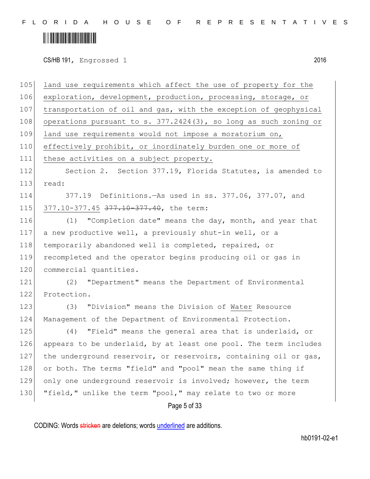### 

CS/HB 191, Engrossed 1 2016

Page 5 of 33 105 land use requirements which affect the use of property for the 106 exploration, development, production, processing, storage, or 107 transportation of oil and gas, with the exception of geophysical 108 operations pursuant to s. 377.2424(3), so long as such zoning or 109 land use requirements would not impose a moratorium on, 110 effectively prohibit, or inordinately burden one or more of 111 these activities on a subject property. 112 Section 2. Section 377.19, Florida Statutes, is amended to 113 read: 114 377.19 Definitions.—As used in ss. 377.06, 377.07, and 115 377.10-377.45 377.10-377.40, the term: 116 (1) "Completion date" means the day, month, and year that 117 a new productive well, a previously shut-in well, or a 118 temporarily abandoned well is completed, repaired, or 119 recompleted and the operator begins producing oil or gas in 120 commercial quantities. 121 (2) "Department" means the Department of Environmental 122 Protection. 123 (3) "Division" means the Division of Water Resource 124 Management of the Department of Environmental Protection. 125 (4) "Field" means the general area that is underlaid, or 126 appears to be underlaid, by at least one pool. The term includes 127 the underground reservoir, or reservoirs, containing oil or gas, 128 or both. The terms "field" and "pool" mean the same thing if 129 only one underground reservoir is involved; however, the term 130 "field," unlike the term "pool," may relate to two or more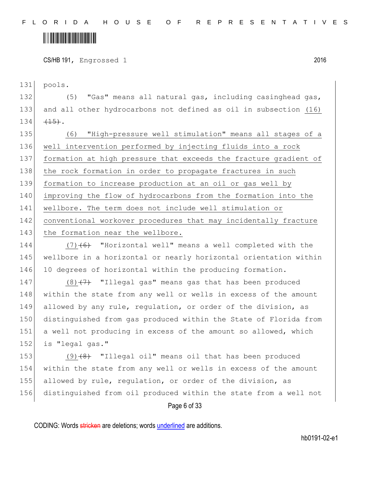CS/HB 191, Engrossed 1 2016

131 pools.

132 (5) "Gas" means all natural gas, including casinghead gas, 133 and all other hydrocarbons not defined as oil in subsection (16)  $134 \frac{+15}{-15}$ .

 (6) "High-pressure well stimulation" means all stages of a well intervention performed by injecting fluids into a rock formation at high pressure that exceeds the fracture gradient of 138 the rock formation in order to propagate fractures in such formation to increase production at an oil or gas well by improving the flow of hydrocarbons from the formation into the wellbore. The term does not include well stimulation or conventional workover procedures that may incidentally fracture 143 the formation near the wellbore.

144  $(7)$  (6) "Horizontal well" means a well completed with the 145 wellbore in a horizontal or nearly horizontal orientation within 146 10 degrees of horizontal within the producing formation.

 $(8)$   $(7)$  "Illegal gas" means gas that has been produced 148 within the state from any well or wells in excess of the amount allowed by any rule, regulation, or order of the division, as distinguished from gas produced within the State of Florida from a well not producing in excess of the amount so allowed, which 152 is "legal gas."

153 (9)<del>(8)</del> "Illegal oil" means oil that has been produced within the state from any well or wells in excess of the amount allowed by rule, regulation, or order of the division, as distinguished from oil produced within the state from a well not

Page 6 of 33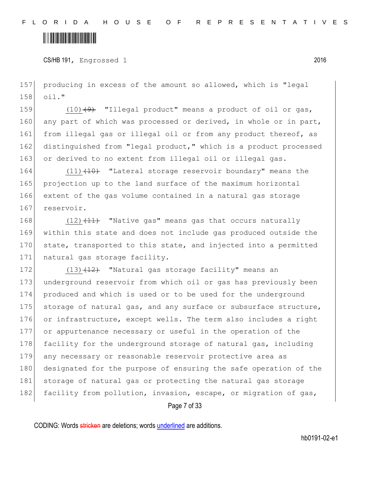CS/HB 191, Engrossed 1 2016

157 producing in excess of the amount so allowed, which is "legal 158 oil."

159  $(10)$   $(9)$  "Illegal product" means a product of oil or gas, 160 any part of which was processed or derived, in whole or in part, 161 from illegal gas or illegal oil or from any product thereof, as 162 distinguished from "legal product," which is a product processed 163 or derived to no extent from illegal oil or illegal gas.

164 (11)<del>(10)</del> "Lateral storage reservoir boundary" means the 165 projection up to the land surface of the maximum horizontal 166 extent of the gas volume contained in a natural gas storage 167 reservoir.

168  $(12)$   $(11)$  "Native gas" means gas that occurs naturally 169 within this state and does not include gas produced outside the 170 state, transported to this state, and injected into a permitted 171 natural gas storage facility.

172  $(13)$   $(12)$  "Natural gas storage facility" means an 173 underground reservoir from which oil or gas has previously been 174 produced and which is used or to be used for the underground 175 storage of natural gas, and any surface or subsurface structure, 176 or infrastructure, except wells. The term also includes a right 177 or appurtenance necessary or useful in the operation of the 178 facility for the underground storage of natural gas, including 179 any necessary or reasonable reservoir protective area as 180 designated for the purpose of ensuring the safe operation of the 181 storage of natural gas or protecting the natural gas storage 182 facility from pollution, invasion, escape, or migration of gas,

Page 7 of 33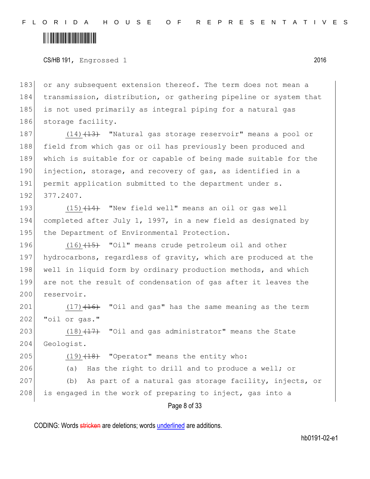### <u> Alban Alban Alban Alban A</u>

CS/HB 191, Engrossed 1 2016

183 or any subsequent extension thereof. The term does not mean a 184 transmission, distribution, or gathering pipeline or system that 185 is not used primarily as integral piping for a natural gas 186 storage facility.

187 (14) (14) Watural gas storage reservoir" means a pool or 188 field from which gas or oil has previously been produced and 189 which is suitable for or capable of being made suitable for the 190 injection, storage, and recovery of gas, as identified in a 191 permit application submitted to the department under s. 192 377.2407.

193 (15) (14) "New field well" means an oil or gas well 194 completed after July 1, 1997, in a new field as designated by 195 the Department of Environmental Protection.

196 (16) (15) "Oil" means crude petroleum oil and other 197 hydrocarbons, regardless of gravity, which are produced at the 198 well in liquid form by ordinary production methods, and which 199 are not the result of condensation of gas after it leaves the 200 reservoir.

 $201$  (17) $\left(16\right)$  "Oil and gas" has the same meaning as the term 202 "oil or gas."

203  $(18)$   $(17)$  "Oil and gas administrator" means the State 204 Geologist.

205  $(19)$   $(18)$  "Operator" means the entity who:

206 (a) Has the right to drill and to produce a well; or

207 (b) As part of a natural gas storage facility, injects, or 208 is engaged in the work of preparing to inject, gas into a

Page 8 of 33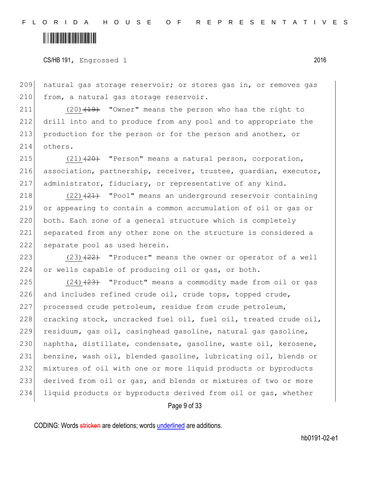### 

CS/HB 191, Engrossed 1 2016

209 natural gas storage reservoir; or stores gas in, or removes gas 210 from, a natural gas storage reservoir.

 (20)<del>(19)</del> "Owner" means the person who has the right to drill into and to produce from any pool and to appropriate the production for the person or for the person and another, or 214 others.

215  $(21)(20)$  "Person" means a natural person, corporation, 216 association, partnership, receiver, trustee, quardian, executor, 217 administrator, fiduciary, or representative of any kind.

 $(22)$   $(21)$  "Pool" means an underground reservoir containing or appearing to contain a common accumulation of oil or gas or both. Each zone of a general structure which is completely separated from any other zone on the structure is considered a 222 separate pool as used herein.

223  $(23)$   $(23)$   $(22)$  "Producer" means the owner or operator of a well 224 or wells capable of producing oil or gas, or both.

225 (24)<del>(23)</del> "Product" means a commodity made from oil or gas 226 and includes refined crude oil, crude tops, topped crude, 227 processed crude petroleum, residue from crude petroleum, 228 cracking stock, uncracked fuel oil, fuel oil, treated crude oil, 229 residuum, gas oil, casinghead gasoline, natural gas gasoline, 230 | naphtha, distillate, condensate, gasoline, waste oil, kerosene, 231 benzine, wash oil, blended gasoline, lubricating oil, blends or 232 mixtures of oil with one or more liquid products or byproducts 233 derived from oil or gas, and blends or mixtures of two or more 234 liquid products or byproducts derived from oil or gas, whether

Page 9 of 33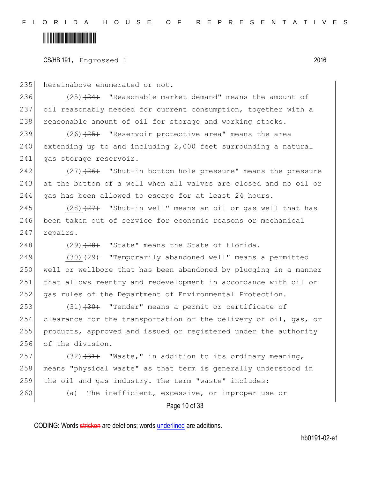### 

CS/HB 191, Engrossed 1 2016

235 hereinabove enumerated or not.

236  $(25)$   $(24)$  "Reasonable market demand" means the amount of 237 oil reasonably needed for current consumption, together with a 238 reasonable amount of oil for storage and working stocks.

239  $(26)$   $(25)$  "Reservoir protective area" means the area 240 extending up to and including 2,000 feet surrounding a natural 241 gas storage reservoir.

242 (27) $(27)$  "Shut-in bottom hole pressure" means the pressure 243 at the bottom of a well when all valves are closed and no oil or 244 gas has been allowed to escape for at least 24 hours.

245  $(28)$   $(27)$  "Shut-in well" means an oil or gas well that has 246 been taken out of service for economic reasons or mechanical 247 repairs.

248  $(29)$   $(28)$  "State" means the State of Florida.

 $(30)$   $(29)$  "Temporarily abandoned well" means a permitted well or wellbore that has been abandoned by plugging in a manner that allows reentry and redevelopment in accordance with oil or 252 gas rules of the Department of Environmental Protection.

253 (31) (30) "Tender" means a permit or certificate of clearance for the transportation or the delivery of oil, gas, or products, approved and issued or registered under the authority of the division.

257 (32) $(31)$  "Waste," in addition to its ordinary meaning, 258 means "physical waste" as that term is generally understood in 259 the oil and gas industry. The term "waste" includes:

260 (a) The inefficient, excessive, or improper use or

Page 10 of 33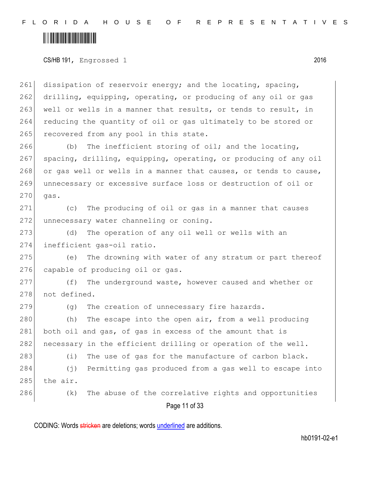### <u> Alban Maria Maria Maria Maria Maria Maria Maria Maria Maria Maria Maria Maria Maria Maria Maria Maria Maria M</u>

CS/HB 191, Engrossed 1 2016

261 dissipation of reservoir energy; and the locating, spacing, 262 drilling, equipping, operating, or producing of any oil or gas 263 well or wells in a manner that results, or tends to result, in 264 reducing the quantity of oil or gas ultimately to be stored or 265 recovered from any pool in this state.

266 (b) The inefficient storing of oil; and the locating, 267 spacing, drilling, equipping, operating, or producing of any oil 268 or gas well or wells in a manner that causes, or tends to cause, 269 unnecessary or excessive surface loss or destruction of oil or  $270$  gas.

271 (c) The producing of oil or gas in a manner that causes 272 unnecessary water channeling or coning.

273 (d) The operation of any oil well or wells with an 274 inefficient gas-oil ratio.

275 (e) The drowning with water of any stratum or part thereof 276 capable of producing oil or gas.

277 (f) The underground waste, however caused and whether or 278 not defined.

 $279$  (g) The creation of unnecessary fire hazards.

280 (h) The escape into the open air, from a well producing 281 both oil and gas, of gas in excess of the amount that is 282 necessary in the efficient drilling or operation of the well.

283 (i) The use of gas for the manufacture of carbon black.

284 (j) Permitting gas produced from a gas well to escape into  $285$  the air.

286 (k) The abuse of the correlative rights and opportunities

Page 11 of 33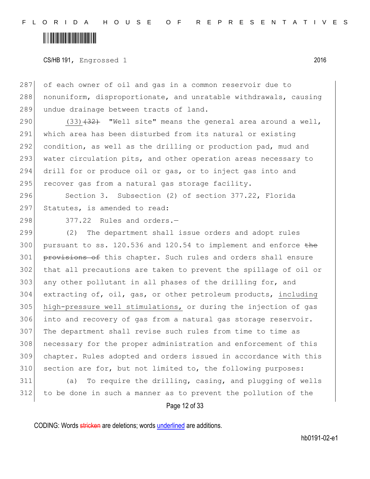CS/HB 191, Engrossed 1 2016

287 of each owner of oil and gas in a common reservoir due to 288 | nonuniform, disproportionate, and unratable withdrawals, causing 289 undue drainage between tracts of land.

290 (33) $(32)$  "Well site" means the general area around a well, 291 which area has been disturbed from its natural or existing 292 condition, as well as the drilling or production pad, mud and 293 water circulation pits, and other operation areas necessary to 294 drill for or produce oil or gas, or to inject gas into and 295 recover gas from a natural gas storage facility.

296 Section 3. Subsection (2) of section 377.22, Florida 297 Statutes, is amended to read:

 $298$  377.22 Rules and orders.  $-$ 

299 (2) The department shall issue orders and adopt rules 300 pursuant to ss.  $120.536$  and  $120.54$  to implement and enforce the 301 provisions of this chapter. Such rules and orders shall ensure 302 that all precautions are taken to prevent the spillage of oil or 303 any other pollutant in all phases of the drilling for, and 304 extracting of, oil, gas, or other petroleum products, including 305 high-pressure well stimulations, or during the injection of gas 306 into and recovery of gas from a natural gas storage reservoir. 307 The department shall revise such rules from time to time as 308 | necessary for the proper administration and enforcement of this 309 chapter. Rules adopted and orders issued in accordance with this 310 section are for, but not limited to, the following purposes:

311 (a) To require the drilling, casing, and plugging of wells 312 to be done in such a manner as to prevent the pollution of the

Page 12 of 33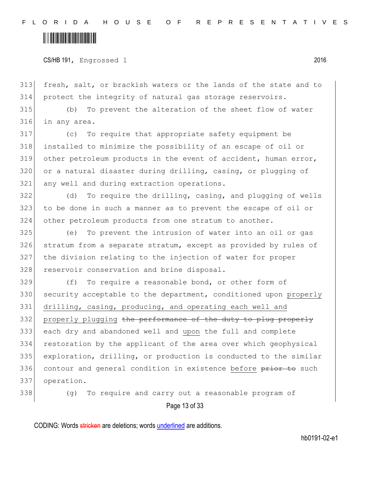#### 

CS/HB 191, Engrossed 1 2016

313 fresh, salt, or brackish waters or the lands of the state and to 314 protect the integrity of natural gas storage reservoirs.

315 (b) To prevent the alteration of the sheet flow of water 316 in any area.

317 (c) To require that appropriate safety equipment be 318 installed to minimize the possibility of an escape of oil or 319 other petroleum products in the event of accident, human error, 320 or a natural disaster during drilling, casing, or plugging of 321 any well and during extraction operations.

322 (d) To require the drilling, casing, and plugging of wells 323 to be done in such a manner as to prevent the escape of oil or 324 other petroleum products from one stratum to another.

 (e) To prevent the intrusion of water into an oil or gas stratum from a separate stratum, except as provided by rules of the division relating to the injection of water for proper 328 reservoir conservation and brine disposal.

329 (f) To require a reasonable bond, or other form of 330 security acceptable to the department, conditioned upon properly 331 drilling, casing, producing, and operating each well and 332 properly plugging the performance of the duty to plug properly 333 each dry and abandoned well and upon the full and complete 334 restoration by the applicant of the area over which geophysical 335 exploration, drilling, or production is conducted to the similar 336 contour and general condition in existence before prior to such 337 operation.

338 (g) To require and carry out a reasonable program of

Page 13 of 33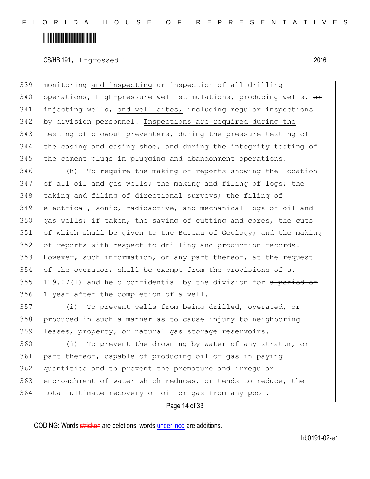CS/HB 191, Engrossed 1 2016

339 monitoring and inspecting or inspection of all drilling 340 operations, high-pressure well stimulations, producing wells,  $\theta$ 341 injecting wells, and well sites, including regular inspections 342 by division personnel. Inspections are required during the 343 testing of blowout preventers, during the pressure testing of 344 the casing and casing shoe, and during the integrity testing of 345 | the cement plugs in plugging and abandonment operations.

346 (h) To require the making of reports showing the location 347 of all oil and gas wells; the making and filing of logs; the 348 taking and filing of directional surveys; the filing of 349 electrical, sonic, radioactive, and mechanical logs of oil and 350 gas wells; if taken, the saving of cutting and cores, the cuts  $351$  of which shall be given to the Bureau of Geology; and the making 352 of reports with respect to drilling and production records. 353 However, such information, or any part thereof, at the request 354 of the operator, shall be exempt from the provisions of s. 355 119.07(1) and held confidential by the division for a period of 356 1 year after the completion of a well.

357 (i) To prevent wells from being drilled, operated, or 358 produced in such a manner as to cause injury to neighboring 359 leases, property, or natural gas storage reservoirs.

360 (j) To prevent the drowning by water of any stratum, or part thereof, capable of producing oil or gas in paying quantities and to prevent the premature and irregular encroachment of water which reduces, or tends to reduce, the total ultimate recovery of oil or gas from any pool.

Page 14 of 33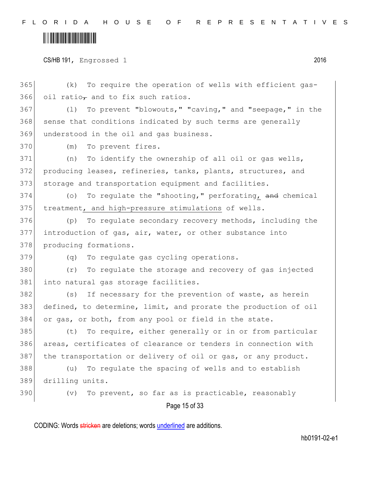### 

CS/HB 191, Engrossed 1 2016

Page 15 of 33 (k) To require the operation of wells with efficient gas-366 oil ratio $_{\tau}$  and to fix such ratios. 367 (1) To prevent "blowouts," "caving," and "seepage," in the 368 sense that conditions indicated by such terms are generally 369 understood in the oil and gas business. 370 (m) To prevent fires. (n) To identify the ownership of all oil or gas wells, producing leases, refineries, tanks, plants, structures, and 373 storage and transportation equipment and facilities. (o) To regulate the "shooting," perforating, and chemical treatment, and high-pressure stimulations of wells. (p) To regulate secondary recovery methods, including the introduction of gas, air, water, or other substance into 378 producing formations. (q) To regulate gas cycling operations. (r) To regulate the storage and recovery of gas injected 381 into natural gas storage facilities. 382 (s) If necessary for the prevention of waste, as herein defined, to determine, limit, and prorate the production of oil or gas, or both, from any pool or field in the state. (t) To require, either generally or in or from particular areas, certificates of clearance or tenders in connection with the transportation or delivery of oil or gas, or any product. (u) To regulate the spacing of wells and to establish drilling units. (v) To prevent, so far as is practicable, reasonably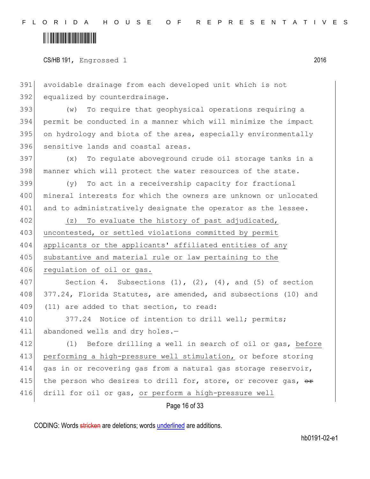## 

CS/HB 191, Engrossed 1 2016

391 avoidable drainage from each developed unit which is not 392 equalized by counterdrainage.

 (w) To require that geophysical operations requiring a permit be conducted in a manner which will minimize the impact on hydrology and biota of the area, especially environmentally 396 sensitive lands and coastal areas.

397 (x) To regulate aboveground crude oil storage tanks in a 398 manner which will protect the water resources of the state.

399 (y) To act in a receivership capacity for fractional 400 | mineral interests for which the owners are unknown or unlocated 401 and to administratively designate the operator as the lessee.

402 (z) To evaluate the history of past adjudicated, 403 uncontested, or settled violations committed by permit 404 applicants or the applicants' affiliated entities of any 405 substantive and material rule or law pertaining to the 406 regulation of oil or gas.

407 Section 4. Subsections  $(1)$ ,  $(2)$ ,  $(4)$ , and  $(5)$  of section 408 377.24, Florida Statutes, are amended, and subsections (10) and 409 (11) are added to that section, to read:

410 377.24 Notice of intention to drill well; permits; 411 abandoned wells and dry holes.-

412 (1) Before drilling a well in search of oil or gas, before 413 performing a high-pressure well stimulation, or before storing 414 gas in or recovering gas from a natural gas storage reservoir, 415 the person who desires to drill for, store, or recover gas,  $\theta$ 416 drill for oil or gas, or perform a high-pressure well

Page 16 of 33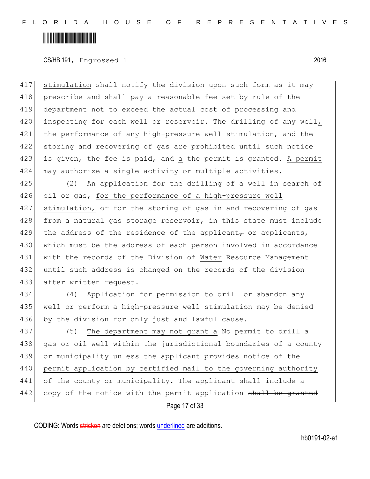### 

CS/HB 191, Engrossed 1 2016

417 stimulation shall notify the division upon such form as it may 418 prescribe and shall pay a reasonable fee set by rule of the 419 department not to exceed the actual cost of processing and 420 inspecting for each well or reservoir. The drilling of any well, 421 the performance of any high-pressure well stimulation, and the 422 storing and recovering of gas are prohibited until such notice 423 is given, the fee is paid, and a the permit is granted. A permit 424 may authorize a single activity or multiple activities.

425 (2) An application for the drilling of a well in search of 426 oil or gas, for the performance of a high-pressure well 427 stimulation, or for the storing of gas in and recovering of gas 428 from a natural gas storage reservoir<sub> $\tau$ </sub> in this state must include 429 the address of the residence of the applicant, or applicants, 430 which must be the address of each person involved in accordance 431 with the records of the Division of Water Resource Management 432 until such address is changed on the records of the division 433 after written request.

434 (4) Application for permission to drill or abandon any 435 well or perform a high-pressure well stimulation may be denied 436 by the division for only just and lawful cause.

437 (5) The department may not grant a  $N\Theta$  permit to drill a 438 gas or oil well within the jurisdictional boundaries of a county 439 or municipality unless the applicant provides notice of the 440 permit application by certified mail to the governing authority 441 of the county or municipality. The applicant shall include a 442 copy of the notice with the permit application shall be granted

Page 17 of 33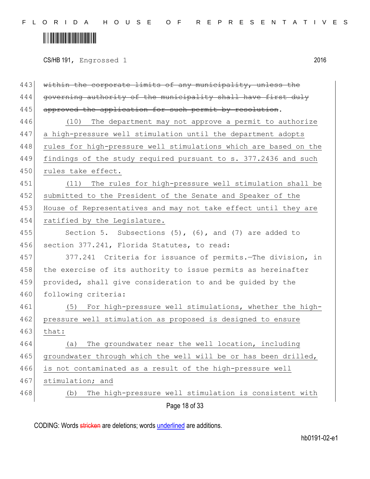CS/HB 191, Engrossed 1 2016

| 443 | within the corporate limits of any municipality, unless the      |
|-----|------------------------------------------------------------------|
| 444 | governing authority of the municipality shall have first duly    |
| 445 | approved the application for such permit by resolution.          |
| 446 | (10) The department may not approve a permit to authorize        |
| 447 | a high-pressure well stimulation until the department adopts     |
| 448 | rules for high-pressure well stimulations which are based on the |
| 449 | findings of the study required pursuant to s. 377.2436 and such  |
| 450 | rules take effect.                                               |
| 451 | (11) The rules for high-pressure well stimulation shall be       |
| 452 | submitted to the President of the Senate and Speaker of the      |
| 453 | House of Representatives and may not take effect until they are  |
| 454 | ratified by the Legislature.                                     |
| 455 | Section 5. Subsections (5), (6), and (7) are added to            |
| 456 | section 377.241, Florida Statutes, to read:                      |
| 457 | 377.241 Criteria for issuance of permits. The division, in       |
| 458 | the exercise of its authority to issue permits as hereinafter    |
| 459 | provided, shall give consideration to and be guided by the       |
| 460 | following criteria:                                              |
| 461 | (5) For high-pressure well stimulations, whether the high-       |
| 462 | pressure well stimulation as proposed is designed to ensure      |
| 463 | that:                                                            |
| 464 | The groundwater near the well location, including<br>(a)         |
| 465 | groundwater through which the well will be or has been drilled,  |
| 466 | is not contaminated as a result of the high-pressure well        |
| 467 | stimulation; and                                                 |
| 468 | The high-pressure well stimulation is consistent with<br>(b)     |
|     | Page 18 of 33                                                    |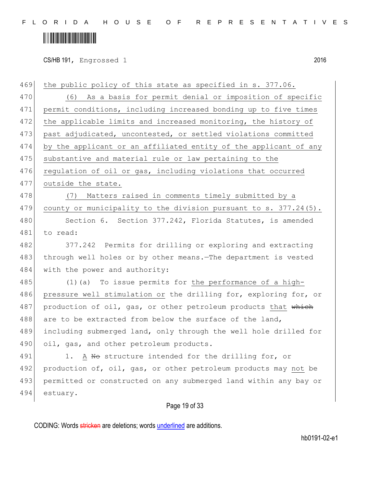## 

CS/HB 191, Engrossed 1 2016

| 469 | the public policy of this state as specified in s. 377.06.          |
|-----|---------------------------------------------------------------------|
| 470 | (6) As a basis for permit denial or imposition of specific          |
| 471 | permit conditions, including increased bonding up to five times     |
| 472 | the applicable limits and increased monitoring, the history of      |
| 473 | past adjudicated, uncontested, or settled violations committed      |
| 474 | by the applicant or an affiliated entity of the applicant of any    |
| 475 | substantive and material rule or law pertaining to the              |
| 476 | regulation of oil or gas, including violations that occurred        |
| 477 | outside the state.                                                  |
| 478 | (7) Matters raised in comments timely submitted by a                |
| 479 | county or municipality to the division pursuant to $s. 377.24(5)$ . |
| 480 | Section 6. Section 377.242, Florida Statutes, is amended            |
| 481 | to read:                                                            |
| 482 | 377.242 Permits for drilling or exploring and extracting            |
| 483 | through well holes or by other means. The department is vested      |
| 484 | with the power and authority:                                       |
| 485 | $(1)$ (a) To issue permits for the performance of a high-           |
| 486 | pressure well stimulation or the drilling for, exploring for, or    |
| 487 | production of oil, gas, or other petroleum products that which      |
| 488 | are to be extracted from below the surface of the land,             |
| 489 | including submerged land, only through the well hole drilled for    |
| 490 | oil, gas, and other petroleum products.                             |
| 491 | A No structure intended for the drilling for, or<br>1.              |
| 492 | production of, oil, gas, or other petroleum products may not be     |
| 493 | permitted or constructed on any submerged land within any bay or    |
| 494 | estuary.                                                            |
|     | Page 19 of 33                                                       |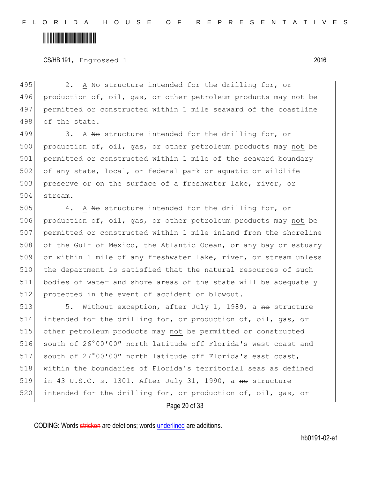### 

CS/HB 191, Engrossed 1 2016

495 2. A No structure intended for the drilling for, or 496 production of, oil, gas, or other petroleum products may not be 497 permitted or constructed within 1 mile seaward of the coastline 498 of the state.

499 3. A No structure intended for the drilling for, or 500 production of, oil, gas, or other petroleum products may not be 501 permitted or constructed within 1 mile of the seaward boundary 502 of any state, local, or federal park or aquatic or wildlife 503 preserve or on the surface of a freshwater lake, river, or 504 stream.

505 4. A No structure intended for the drilling for, or 506 production of, oil, gas, or other petroleum products may not be 507 permitted or constructed within 1 mile inland from the shoreline 508 of the Gulf of Mexico, the Atlantic Ocean, or any bay or estuary 509 or within 1 mile of any freshwater lake, river, or stream unless 510 the department is satisfied that the natural resources of such 511 bodies of water and shore areas of the state will be adequately 512 protected in the event of accident or blowout.

513 5. Without exception, after July 1, 1989, a no structure intended for the drilling for, or production of, oil, gas, or other petroleum products may not be permitted or constructed south of 26°00′00″ north latitude off Florida's west coast and south of 27°00′00″ north latitude off Florida's east coast, within the boundaries of Florida's territorial seas as defined 519 in 43 U.S.C. s. 1301. After July 31, 1990, a  $\theta$  absolute 520 intended for the drilling for, or production of, oil, gas, or

Page 20 of 33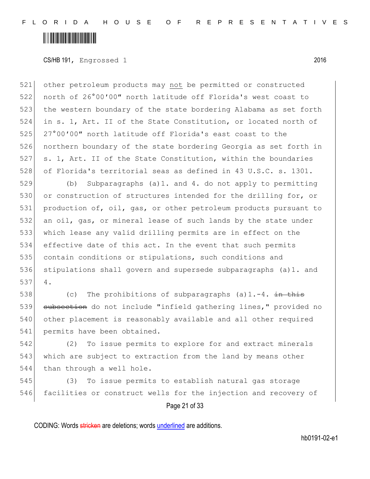CS/HB 191, Engrossed 1 2016

 other petroleum products may not be permitted or constructed north of 26°00′00″ north latitude off Florida's west coast to 523 the western boundary of the state bordering Alabama as set forth in s. 1, Art. II of the State Constitution, or located north of 525 27°00'00" north latitude off Florida's east coast to the northern boundary of the state bordering Georgia as set forth in s. 1, Art. II of the State Constitution, within the boundaries of Florida's territorial seas as defined in 43 U.S.C. s. 1301.

 (b) Subparagraphs (a)1. and 4. do not apply to permitting 530 or construction of structures intended for the drilling for, or production of, oil, gas, or other petroleum products pursuant to an oil, gas, or mineral lease of such lands by the state under which lease any valid drilling permits are in effect on the effective date of this act. In the event that such permits 535 contain conditions or stipulations, such conditions and stipulations shall govern and supersede subparagraphs (a)1. and 537 4.

538 (c) The prohibitions of subparagraphs  $(a)$ 1.-4. in this 539 subsection do not include "infield gathering lines," provided no 540 other placement is reasonably available and all other required 541 permits have been obtained.

542 (2) To issue permits to explore for and extract minerals 543 which are subject to extraction from the land by means other 544 than through a well hole.

545 (3) To issue permits to establish natural gas storage 546 facilities or construct wells for the injection and recovery of

Page 21 of 33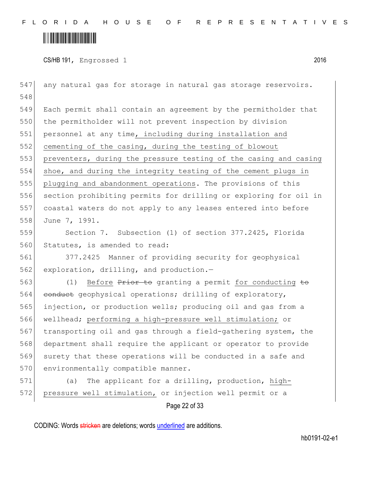CS/HB 191, Engrossed 1 2016

Page 22 of 33 547 any natural gas for storage in natural gas storage reservoirs. 548 549 Each permit shall contain an agreement by the permitholder that 550 the permitholder will not prevent inspection by division 551 personnel at any time, including during installation and 552 cementing of the casing, during the testing of blowout 553 preventers, during the pressure testing of the casing and casing 554 shoe, and during the integrity testing of the cement plugs in 555 plugging and abandonment operations. The provisions of this 556 section prohibiting permits for drilling or exploring for oil in 557 coastal waters do not apply to any leases entered into before 558 June 7, 1991. 559 Section 7. Subsection (1) of section 377.2425, Florida 560 Statutes, is amended to read: 561 377.2425 Manner of providing security for geophysical 562 exploration, drilling, and production.-563 (1) Before Prior to granting a permit for conducting to 564 conduct geophysical operations; drilling of exploratory, 565 injection, or production wells; producing oil and gas from a 566 wellhead; performing a high-pressure well stimulation; or 567 transporting oil and gas through a field-gathering system, the 568 department shall require the applicant or operator to provide 569 surety that these operations will be conducted in a safe and 570 environmentally compatible manner. 571 (a) The applicant for a drilling, production, high-572 pressure well stimulation, or injection well permit or a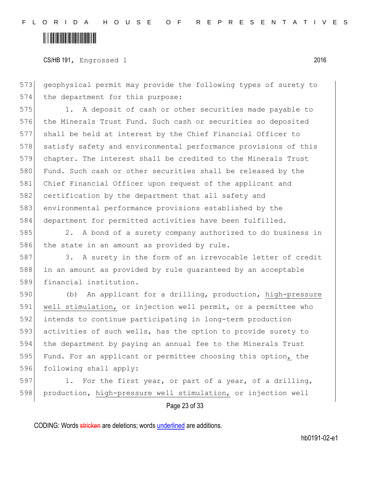CS/HB 191, Engrossed 1 2016

573 geophysical permit may provide the following types of surety to 574 the department for this purpose:

575 1. A deposit of cash or other securities made payable to 576 the Minerals Trust Fund. Such cash or securities so deposited 577 shall be held at interest by the Chief Financial Officer to 578 satisfy safety and environmental performance provisions of this 579 chapter. The interest shall be credited to the Minerals Trust 580 Fund. Such cash or other securities shall be released by the 581 Chief Financial Officer upon request of the applicant and 582 certification by the department that all safety and 583 environmental performance provisions established by the 584 department for permitted activities have been fulfilled.

585 2. A bond of a surety company authorized to do business in 586 the state in an amount as provided by rule.

587 3. A surety in the form of an irrevocable letter of credit 588 in an amount as provided by rule guaranteed by an acceptable 589 financial institution.

 (b) An applicant for a drilling, production, high-pressure well stimulation, or injection well permit, or a permittee who intends to continue participating in long-term production activities of such wells, has the option to provide surety to the department by paying an annual fee to the Minerals Trust 595 Fund. For an applicant or permittee choosing this option, the 596 following shall apply:

597 1. For the first year, or part of a year, of a drilling, 598 production, high-pressure well stimulation, or injection well

Page 23 of 33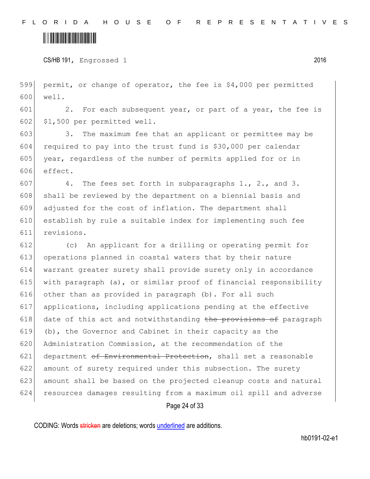### 

CS/HB 191, Engrossed 1 2016

 permit, or change of operator, the fee is \$4,000 per permitted well.

601 2. For each subsequent year, or part of a year, the fee is \$1,500 per permitted well.

 3. The maximum fee that an applicant or permittee may be required to pay into the trust fund is \$30,000 per calendar 605 year, regardless of the number of permits applied for or in effect.

607 4. The fees set forth in subparagraphs  $1., 2.,$  and  $3.$ 608 shall be reviewed by the department on a biennial basis and adjusted for the cost of inflation. The department shall establish by rule a suitable index for implementing such fee revisions.

 (c) An applicant for a drilling or operating permit for operations planned in coastal waters that by their nature warrant greater surety shall provide surety only in accordance with paragraph (a), or similar proof of financial responsibility 616 other than as provided in paragraph (b). For all such applications, including applications pending at the effective date of this act and notwithstanding the provisions of paragraph 619 (b), the Governor and Cabinet in their capacity as the Administration Commission, at the recommendation of the department of Environmental Protection, shall set a reasonable amount of surety required under this subsection. The surety amount shall be based on the projected cleanup costs and natural resources damages resulting from a maximum oil spill and adverse

Page 24 of 33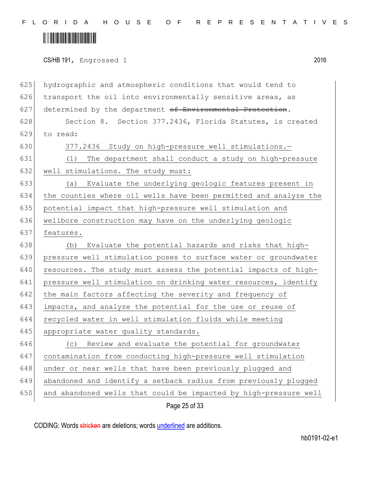## 

CS/HB 191, Engrossed 1 2016

| 625 | hydrographic and atmospheric conditions that would tend to       |
|-----|------------------------------------------------------------------|
| 626 | transport the oil into environmentally sensitive areas, as       |
| 627 | determined by the department of Environmental Protection.        |
| 628 | Section 8. Section 377.2436, Florida Statutes, is created        |
| 629 | to read:                                                         |
| 630 | 377.2436 Study on high-pressure well stimulations.-              |
| 631 | The department shall conduct a study on high-pressure<br>(1)     |
| 632 | well stimulations. The study must:                               |
| 633 | Evaluate the underlying geologic features present in<br>(a)      |
| 634 | the counties where oil wells have been permitted and analyze the |
| 635 | potential impact that high-pressure well stimulation and         |
| 636 | wellbore construction may have on the underlying geologic        |
| 637 | features.                                                        |
| 638 | Evaluate the potential hazards and risks that high-<br>(b)       |
| 639 | pressure well stimulation poses to surface water or groundwater  |
| 640 | resources. The study must assess the potential impacts of high-  |
| 641 | pressure well stimulation on drinking water resources, identify  |
| 642 | the main factors affecting the severity and frequency of         |
| 643 | impacts, and analyze the potential for the use or reuse of       |
| 644 | recycled water in well stimulation fluids while meeting          |
| 645 | appropriate water quality standards.                             |
| 646 | Review and evaluate the potential for groundwater<br>(C)         |
| 647 | contamination from conducting high-pressure well stimulation     |
| 648 | under or near wells that have been previously plugged and        |
| 649 | abandoned and identify a setback radius from previously plugged  |
| 650 | and abandoned wells that could be impacted by high-pressure well |
|     | Page 25 of 33                                                    |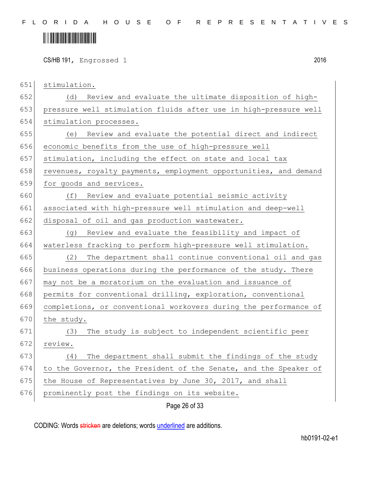CS/HB 191, Engrossed 1 2016

stimulation.

 (d) Review and evaluate the ultimate disposition of high- pressure well stimulation fluids after use in high-pressure well 654 stimulation processes.

 (e) Review and evaluate the potential direct and indirect economic benefits from the use of high-pressure well stimulation, including the effect on state and local tax

658 revenues, royalty payments, employment opportunities, and demand

659 for goods and services.

 (f) Review and evaluate potential seismic activity associated with high-pressure well stimulation and deep-well disposal of oil and gas production wastewater.

 (g) Review and evaluate the feasibility and impact of waterless fracking to perform high-pressure well stimulation.

 (2) The department shall continue conventional oil and gas business operations during the performance of the study. There may not be a moratorium on the evaluation and issuance of 668 permits for conventional drilling, exploration, conventional

 completions, or conventional workovers during the performance of the study.

 (3) The study is subject to independent scientific peer review.

 (4) The department shall submit the findings of the study to the Governor, the President of the Senate, and the Speaker of 675 the House of Representatives by June 30, 2017, and shall

676 prominently post the findings on its website.

Page 26 of 33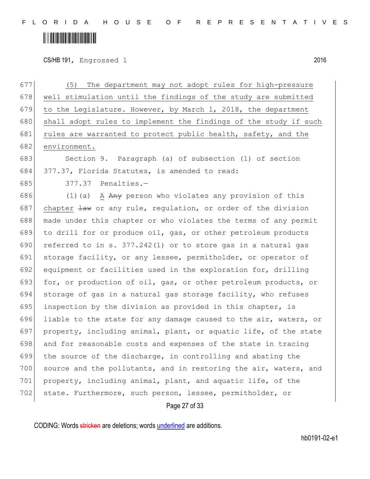## 

CS/HB 191, Engrossed 1 2016

| 677 | The department may not adopt rules for high-pressure<br>(5)             |
|-----|-------------------------------------------------------------------------|
| 678 | well stimulation until the findings of the study are submitted          |
| 679 | to the Legislature. However, by March 1, 2018, the department           |
| 680 | shall adopt rules to implement the findings of the study if such        |
| 681 | rules are warranted to protect public health, safety, and the           |
| 682 | environment.                                                            |
| 683 | Section 9. Paragraph (a) of subsection (1) of section                   |
| 684 | 377.37, Florida Statutes, is amended to read:                           |
| 685 | 377.37 Penalties.-                                                      |
| 686 | $(1)$ (a) A $A$ <sub>n</sub> person who violates any provision of this  |
| 687 | chapter $\frac{1}{2}$ or any rule, regulation, or order of the division |
| 688 | made under this chapter or who violates the terms of any permit         |
| 689 | to drill for or produce oil, gas, or other petroleum products           |
| 690 | referred to in s. $377.242(1)$ or to store gas in a natural gas         |
| 691 | storage facility, or any lessee, permitholder, or operator of           |
| 692 | equipment or facilities used in the exploration for, drilling           |
| 693 | for, or production of oil, gas, or other petroleum products, or         |
| 694 | storage of gas in a natural gas storage facility, who refuses           |
| 695 | inspection by the division as provided in this chapter, is              |
| 696 | liable to the state for any damage caused to the air, waters, or        |
| 697 | property, including animal, plant, or aquatic life, of the state        |
| 698 | and for reasonable costs and expenses of the state in tracing           |
| 699 | the source of the discharge, in controlling and abating the             |
| 700 | source and the pollutants, and in restoring the air, waters, and        |
| 701 | property, including animal, plant, and aquatic life, of the             |
| 702 | state. Furthermore, such person, lessee, permitholder, or               |
|     | Page 27 of 33                                                           |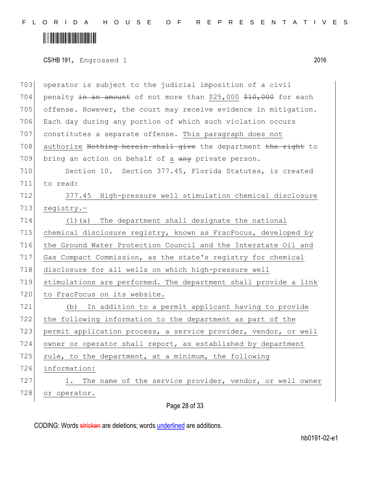### 

CS/HB 191, Engrossed 1 2016

Page 28 of 33 703 operator is subject to the judicial imposition of a civil 704 penalty  $\frac{1}{2}$  an amount of not more than \$25,000 \$10,000 for each 705 offense. However, the court may receive evidence in mitigation. 706 Each day during any portion of which such violation occurs 707 constitutes a separate offense. This paragraph does not 708 authorize Nothing herein shall give the department the right to 709 bring an action on behalf of a any private person. 710 Section 10. Section 377.45, Florida Statutes, is created 711 to read: 712 377.45 High-pressure well stimulation chemical disclosure 713 registry.-714 (1)(a) The department shall designate the national 715 chemical disclosure registry, known as FracFocus, developed by 716 the Ground Water Protection Council and the Interstate Oil and 717 Gas Compact Commission, as the state's registry for chemical 718 disclosure for all wells on which high-pressure well 719 stimulations are performed. The department shall provide a link 720 to FracFocus on its website. 721 (b) In addition to a permit applicant having to provide 722 the following information to the department as part of the 723 permit application process, a service provider, vendor, or well 724 owner or operator shall report, as established by department 725 rule, to the department, at a minimum, the following 726 information: 727 1. The name of the service provider, vendor, or well owner 728 or operator.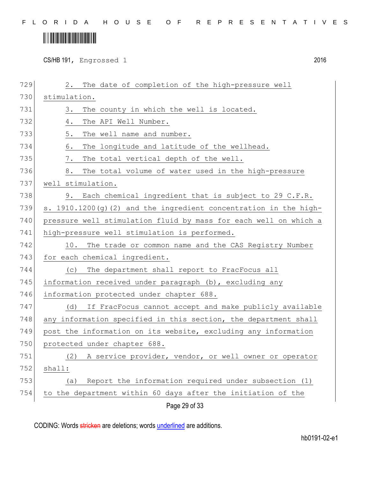## 

CS/HB 191, Engrossed 1 2016

| 729 | The date of completion of the high-pressure well<br>2.                                                                                                                                                                                                                                                                                                                                                                                                                                                                                                                                                                       |  |  |  |  |  |  |
|-----|------------------------------------------------------------------------------------------------------------------------------------------------------------------------------------------------------------------------------------------------------------------------------------------------------------------------------------------------------------------------------------------------------------------------------------------------------------------------------------------------------------------------------------------------------------------------------------------------------------------------------|--|--|--|--|--|--|
| 730 | stimulation.                                                                                                                                                                                                                                                                                                                                                                                                                                                                                                                                                                                                                 |  |  |  |  |  |  |
| 731 | The county in which the well is located.<br>3.                                                                                                                                                                                                                                                                                                                                                                                                                                                                                                                                                                               |  |  |  |  |  |  |
| 732 | The API Well Number.<br>4.                                                                                                                                                                                                                                                                                                                                                                                                                                                                                                                                                                                                   |  |  |  |  |  |  |
| 733 | 5.<br>The well name and number.                                                                                                                                                                                                                                                                                                                                                                                                                                                                                                                                                                                              |  |  |  |  |  |  |
| 734 | 6.<br>The longitude and latitude of the wellhead.                                                                                                                                                                                                                                                                                                                                                                                                                                                                                                                                                                            |  |  |  |  |  |  |
| 735 | 7.<br>The total vertical depth of the well.                                                                                                                                                                                                                                                                                                                                                                                                                                                                                                                                                                                  |  |  |  |  |  |  |
| 736 | 8.<br>The total volume of water used in the high-pressure                                                                                                                                                                                                                                                                                                                                                                                                                                                                                                                                                                    |  |  |  |  |  |  |
| 737 | well stimulation.                                                                                                                                                                                                                                                                                                                                                                                                                                                                                                                                                                                                            |  |  |  |  |  |  |
| 738 | 9. Each chemical ingredient that is subject to 29 C.F.R.                                                                                                                                                                                                                                                                                                                                                                                                                                                                                                                                                                     |  |  |  |  |  |  |
| 739 | s. 1910.1200 (g) (2) and the ingredient concentration in the high-                                                                                                                                                                                                                                                                                                                                                                                                                                                                                                                                                           |  |  |  |  |  |  |
| 740 | pressure well stimulation fluid by mass for each well on which a                                                                                                                                                                                                                                                                                                                                                                                                                                                                                                                                                             |  |  |  |  |  |  |
| 741 | high-pressure well stimulation is performed.<br>10. The trade or common name and the CAS Registry Number<br>for each chemical ingredient.<br>The department shall report to FracFocus all<br>(C)<br>information received under paragraph (b), excluding any<br>information protected under chapter 688.<br>(d)<br>any information specified in this section, the department shall<br>post the information on its website, excluding any information<br>protected under chapter 688.<br>A service provider, vendor, or well owner or operator<br>(2)<br>shall:<br>Report the information required under subsection (1)<br>(a) |  |  |  |  |  |  |
| 742 |                                                                                                                                                                                                                                                                                                                                                                                                                                                                                                                                                                                                                              |  |  |  |  |  |  |
| 743 |                                                                                                                                                                                                                                                                                                                                                                                                                                                                                                                                                                                                                              |  |  |  |  |  |  |
| 744 |                                                                                                                                                                                                                                                                                                                                                                                                                                                                                                                                                                                                                              |  |  |  |  |  |  |
| 745 |                                                                                                                                                                                                                                                                                                                                                                                                                                                                                                                                                                                                                              |  |  |  |  |  |  |
| 746 |                                                                                                                                                                                                                                                                                                                                                                                                                                                                                                                                                                                                                              |  |  |  |  |  |  |
| 747 | If FracFocus cannot accept and make publicly available                                                                                                                                                                                                                                                                                                                                                                                                                                                                                                                                                                       |  |  |  |  |  |  |
| 748 |                                                                                                                                                                                                                                                                                                                                                                                                                                                                                                                                                                                                                              |  |  |  |  |  |  |
| 749 |                                                                                                                                                                                                                                                                                                                                                                                                                                                                                                                                                                                                                              |  |  |  |  |  |  |
| 750 |                                                                                                                                                                                                                                                                                                                                                                                                                                                                                                                                                                                                                              |  |  |  |  |  |  |
| 751 |                                                                                                                                                                                                                                                                                                                                                                                                                                                                                                                                                                                                                              |  |  |  |  |  |  |
| 752 |                                                                                                                                                                                                                                                                                                                                                                                                                                                                                                                                                                                                                              |  |  |  |  |  |  |
| 753 |                                                                                                                                                                                                                                                                                                                                                                                                                                                                                                                                                                                                                              |  |  |  |  |  |  |
| 754 | to the department within 60 days after the initiation of the                                                                                                                                                                                                                                                                                                                                                                                                                                                                                                                                                                 |  |  |  |  |  |  |
|     | Page 29 of 33                                                                                                                                                                                                                                                                                                                                                                                                                                                                                                                                                                                                                |  |  |  |  |  |  |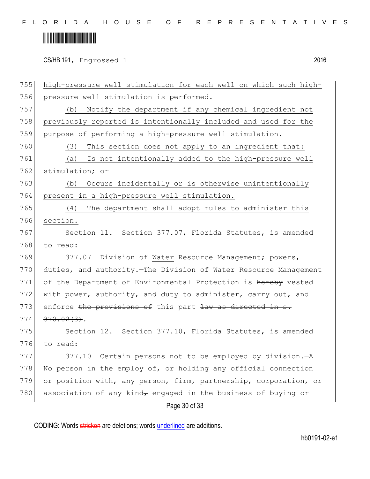### 

CS/HB 191, Engrossed 1 2016

Page 30 of 33 755 high-pressure well stimulation for each well on which such high-756 pressure well stimulation is performed. 757 (b) Notify the department if any chemical ingredient not 758 previously reported is intentionally included and used for the 759 purpose of performing a high-pressure well stimulation. 760 (3) This section does not apply to an ingredient that: 761 (a) Is not intentionally added to the high-pressure well 762 stimulation; or 763 (b) Occurs incidentally or is otherwise unintentionally 764 present in a high-pressure well stimulation. 765 (4) The department shall adopt rules to administer this 766 section. 767 Section 11. Section 377.07, Florida Statutes, is amended 768 to read: 769 377.07 Division of Water Resource Management; powers, 770 duties, and authority.—The Division of Water Resource Management 771 of the Department of Environmental Protection is hereby vested 772 with power, authority, and duty to administer, carry out, and 773 enforce the provisions of this part law as directed in s.  $774 \mid 370.02(3)$ . 775 Section 12. Section 377.10, Florida Statutes, is amended 776 to read: 777 377.10 Certain persons not to be employed by division.—A 778  $\vert$  No person in the employ of, or holding any official connection 779 or position with, any person, firm, partnership, corporation, or 780 association of any kind, engaged in the business of buying or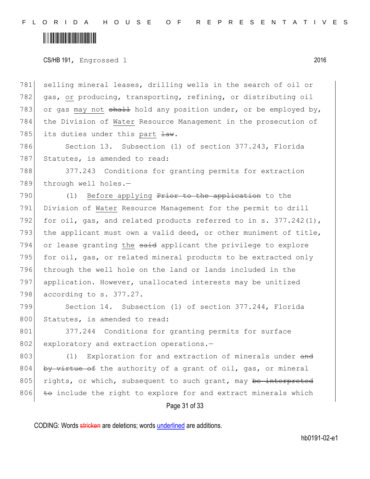CS/HB 191, Engrossed 1 2016

781 selling mineral leases, drilling wells in the search of oil or 782 gas, or producing, transporting, refining, or distributing oil 783 or gas may not shall hold any position under, or be employed by, 784 the Division of Water Resource Management in the prosecution of 785 its duties under this part  $\frac{1}{2}$ .

786 Section 13. Subsection (1) of section 377.243, Florida 787 Statutes, is amended to read:

788 377.243 Conditions for granting permits for extraction 789 through well holes.-

790 (1) Before applying Prior to the application to the 791 Division of Water Resource Management for the permit to drill 792 for oil, gas, and related products referred to in s.  $377.242(1)$ , 793 the applicant must own a valid deed, or other muniment of title,  $794$  or lease granting the  $s$ aid applicant the privilege to explore 795 for oil, gas, or related mineral products to be extracted only 796 through the well hole on the land or lands included in the 797 application. However, unallocated interests may be unitized 798 according to s. 377.27.

799 Section 14. Subsection (1) of section 377.244, Florida 800 Statutes, is amended to read:

801 377.244 Conditions for granting permits for surface 802 exploratory and extraction operations.-

803 (1) Exploration for and extraction of minerals under and 804 by virtue of the authority of a grant of oil, gas, or mineral 805 rights, or which, subsequent to such grant, may be interpreted  $806$  to include the right to explore for and extract minerals which

Page 31 of 33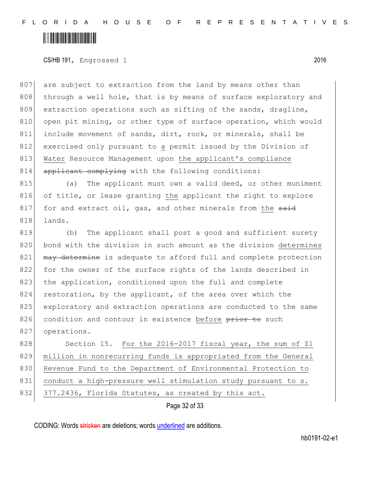### 

CS/HB 191, Engrossed 1 2016

807 are subject to extraction from the land by means other than 808 through a well hole, that is by means of surface exploratory and 809 extraction operations such as sifting of the sands, dragline, 810 open pit mining, or other type of surface operation, which would 811 include movement of sands, dirt, rock, or minerals, shall be 812 exercised only pursuant to a permit issued by the Division of 813 Water Resource Management upon the applicant's compliance 814 applicant complying with the following conditions:

815 (a) The applicant must own a valid deed, or other muniment 816 of title, or lease granting the applicant the right to explore 817 for and extract oil, gas, and other minerals from the said 818 lands.

819 (b) The applicant shall post a good and sufficient surety 820 bond with the division in such amount as the division determines 821 may determine is adequate to afford full and complete protection 822 for the owner of the surface rights of the lands described in 823 the application, conditioned upon the full and complete 824 restoration, by the applicant, of the area over which the 825 exploratory and extraction operations are conducted to the same 826 condition and contour in existence before prior to such 827 operations.

828 Section 15. For the 2016-2017 fiscal year, the sum of \$1 829 million in nonrecurring funds is appropriated from the General 830 Revenue Fund to the Department of Environmental Protection to 831 conduct a high-pressure well stimulation study pursuant to s. 832 377.2436, Florida Statutes, as created by this act.

Page 32 of 33